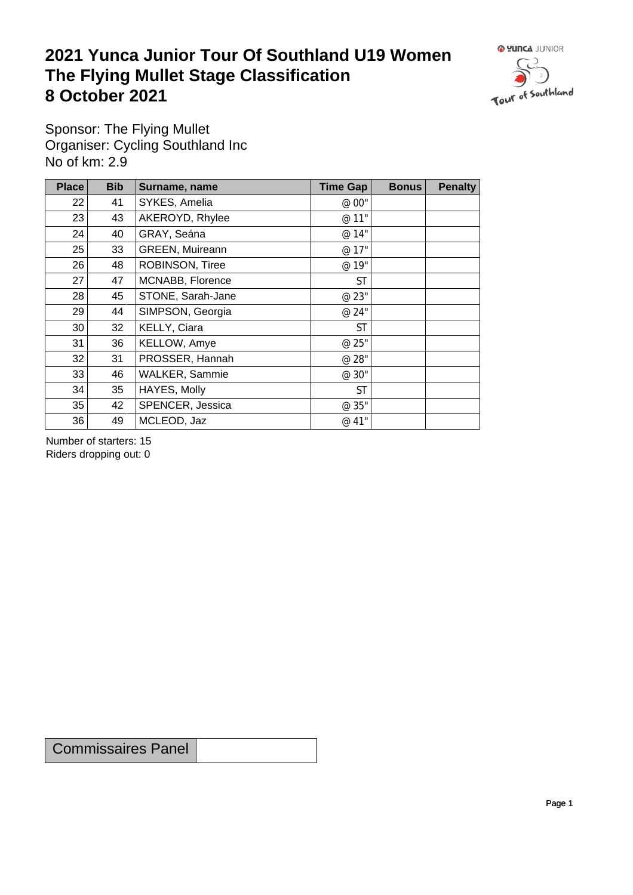## **2021 Yunca Junior Tour Of Southland U19 Women** The Flying Mullet Stage Classification<br>8 October 2021 **8 October 2021**



Sponsor: The Flying Mullet Organiser: Cycling Southland Inc No of km: 2.9

| <b>Place</b> | <b>Bib</b> | Surname, name     | <b>Time Gap</b> | <b>Bonus</b> | <b>Penalty</b> |
|--------------|------------|-------------------|-----------------|--------------|----------------|
| 22           | 41         | SYKES, Amelia     | @ 00"           |              |                |
| 23           | 43         | AKEROYD, Rhylee   | @ 11"           |              |                |
| 24           | 40         | GRAY, Seána       | @ 14"           |              |                |
| 25           | 33         | GREEN, Muireann   | @ 17"           |              |                |
| 26           | 48         | ROBINSON, Tiree   | @ 19"           |              |                |
| 27           | 47         | MCNABB, Florence  | <b>ST</b>       |              |                |
| 28           | 45         | STONE, Sarah-Jane | @ 23"           |              |                |
| 29           | 44         | SIMPSON, Georgia  | @ 24"           |              |                |
| 30           | 32         | KELLY, Ciara      | <b>ST</b>       |              |                |
| 31           | 36         | KELLOW, Amye      | @ 25"           |              |                |
| 32           | 31         | PROSSER, Hannah   | @ 28"           |              |                |
| 33           | 46         | WALKER, Sammie    | @ 30"           |              |                |
| 34           | 35         | HAYES, Molly      | <b>ST</b>       |              |                |
| 35           | 42         | SPENCER, Jessica  | @ 35"           |              |                |
| 36           | 49         | MCLEOD, Jaz       | @ 41"           |              |                |

Number of starters: 15 Riders dropping out: 0

Commissaires Panel